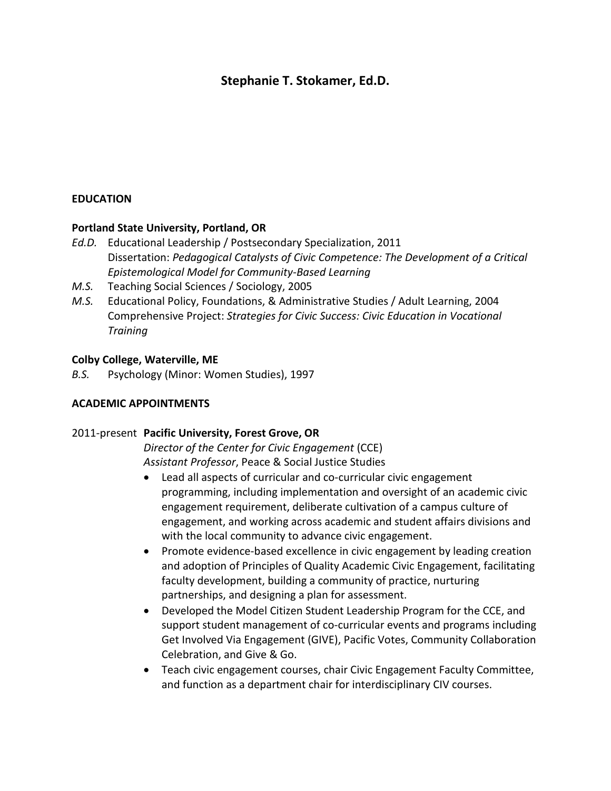## **Stephanie T. Stokamer, Ed.D.**

## **EDUCATION**

#### **Portland State University, Portland, OR**

- *Ed.D.* Educational Leadership / Postsecondary Specialization, 2011 Dissertation: *Pedagogical Catalysts of Civic Competence: The Development of a Critical Epistemological Model for Community-Based Learning*
- *M.S.* Teaching Social Sciences / Sociology, 2005
- *M.S.* Educational Policy, Foundations, & Administrative Studies / Adult Learning, 2004 Comprehensive Project: *Strategies for Civic Success: Civic Education in Vocational Training*

#### **Colby College, Waterville, ME**

*B.S.* Psychology (Minor: Women Studies), 1997

#### **ACADEMIC APPOINTMENTS**

#### 2011-present **Pacific University, Forest Grove, OR**

*Director of the Center for Civic Engagement* (CCE) *Assistant Professor*, Peace & Social Justice Studies

- Lead all aspects of curricular and co-curricular civic engagement programming, including implementation and oversight of an academic civic engagement requirement, deliberate cultivation of a campus culture of engagement, and working across academic and student affairs divisions and with the local community to advance civic engagement.
- Promote evidence-based excellence in civic engagement by leading creation and adoption of Principles of Quality Academic Civic Engagement, facilitating faculty development, building a community of practice, nurturing partnerships, and designing a plan for assessment.
- Developed the Model Citizen Student Leadership Program for the CCE, and support student management of co-curricular events and programs including Get Involved Via Engagement (GIVE), Pacific Votes, Community Collaboration Celebration, and Give & Go.
- Teach civic engagement courses, chair Civic Engagement Faculty Committee, and function as a department chair for interdisciplinary CIV courses.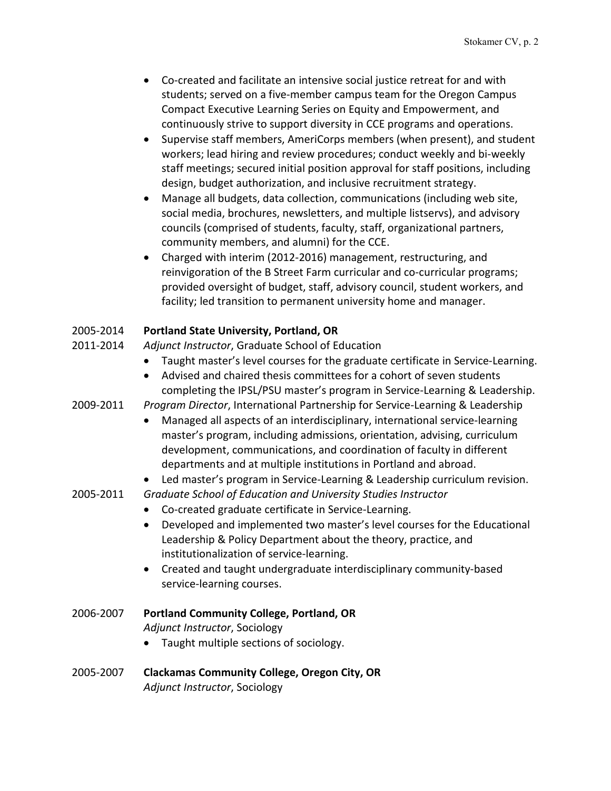- Co-created and facilitate an intensive social justice retreat for and with students; served on a five-member campus team for the Oregon Campus Compact Executive Learning Series on Equity and Empowerment, and continuously strive to support diversity in CCE programs and operations.
- Supervise staff members, AmeriCorps members (when present), and student workers; lead hiring and review procedures; conduct weekly and bi-weekly staff meetings; secured initial position approval for staff positions, including design, budget authorization, and inclusive recruitment strategy.
- Manage all budgets, data collection, communications (including web site, social media, brochures, newsletters, and multiple listservs), and advisory councils (comprised of students, faculty, staff, organizational partners, community members, and alumni) for the CCE.
- Charged with interim (2012-2016) management, restructuring, and reinvigoration of the B Street Farm curricular and co-curricular programs; provided oversight of budget, staff, advisory council, student workers, and facility; led transition to permanent university home and manager.

## 2005-2014 **Portland State University, Portland, OR**

- 2011-2014 *Adjunct Instructor*, Graduate School of Education
	- Taught master's level courses for the graduate certificate in Service-Learning.
	- Advised and chaired thesis committees for a cohort of seven students completing the IPSL/PSU master's program in Service-Learning & Leadership.

2009-2011 *Program Director*, International Partnership for Service-Learning & Leadership

- Managed all aspects of an interdisciplinary, international service-learning master's program, including admissions, orientation, advising, curriculum development, communications, and coordination of faculty in different departments and at multiple institutions in Portland and abroad.
- Led master's program in Service-Learning & Leadership curriculum revision.
- 2005-2011 *Graduate School of Education and University Studies Instructor*
	- Co-created graduate certificate in Service-Learning.
	- Developed and implemented two master's level courses for the Educational Leadership & Policy Department about the theory, practice, and institutionalization of service-learning.
	- Created and taught undergraduate interdisciplinary community-based service-learning courses.
- 2006-2007 **Portland Community College, Portland, OR** *Adjunct Instructor*, Sociology
	- Taught multiple sections of sociology.
- 2005-2007 **Clackamas Community College, Oregon City, OR** *Adjunct Instructor*, Sociology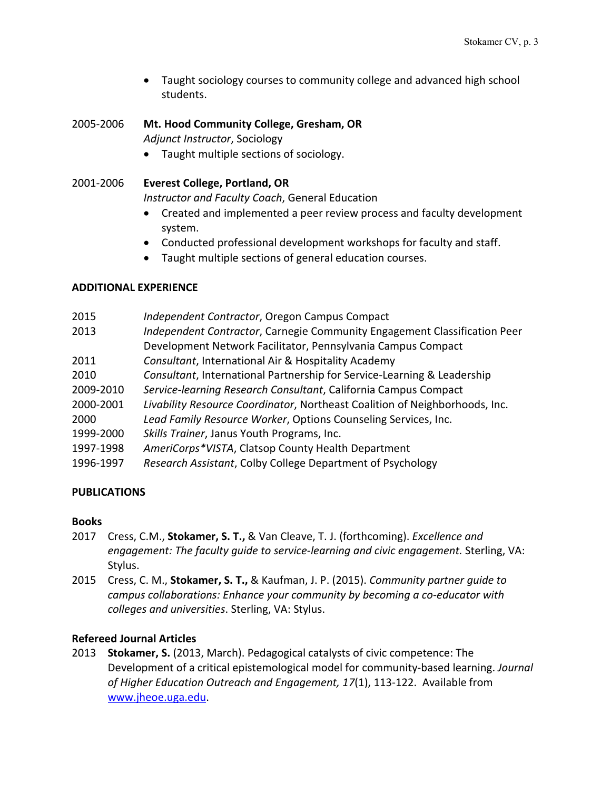• Taught sociology courses to community college and advanced high school students.

2005-2006 **Mt. Hood Community College, Gresham, OR** *Adjunct Instructor*, Sociology

• Taught multiple sections of sociology.

2001-2006 **Everest College, Portland, OR**

*Instructor and Faculty Coach*, General Education

- Created and implemented a peer review process and faculty development system.
- Conducted professional development workshops for faculty and staff.
- Taught multiple sections of general education courses.

## **ADDITIONAL EXPERIENCE**

| 2015      | Independent Contractor, Oregon Campus Compact                               |
|-----------|-----------------------------------------------------------------------------|
| 2013      | Independent Contractor, Carnegie Community Engagement Classification Peer   |
|           | Development Network Facilitator, Pennsylvania Campus Compact                |
| 2011      | Consultant, International Air & Hospitality Academy                         |
| 2010      | Consultant, International Partnership for Service-Learning & Leadership     |
| 2009-2010 | Service-learning Research Consultant, California Campus Compact             |
| 2000-2001 | Livability Resource Coordinator, Northeast Coalition of Neighborhoods, Inc. |
| 2000      | Lead Family Resource Worker, Options Counseling Services, Inc.              |
| 1999-2000 | Skills Trainer, Janus Youth Programs, Inc.                                  |
| 1997-1998 | AmeriCorps*VISTA, Clatsop County Health Department                          |
| 1996-1997 | Research Assistant, Colby College Department of Psychology                  |
|           |                                                                             |

## **PUBLICATIONS**

## **Books**

- 2017 Cress, C.M., **Stokamer, S. T.,** & Van Cleave, T. J. (forthcoming). *Excellence and engagement: The faculty guide to service-learning and civic engagement.* Sterling, VA: Stylus.
- 2015 Cress, C. M., **Stokamer, S. T.,** & Kaufman, J. P. (2015). *Community partner guide to campus collaborations: Enhance your community by becoming a co-educator with colleges and universities*. Sterling, VA: Stylus.

## **Refereed Journal Articles**

2013 **Stokamer, S.** (2013, March). Pedagogical catalysts of civic competence: The Development of a critical epistemological model for community-based learning. *Journal of Higher Education Outreach and Engagement, 17*(1), 113-122. Available from www.jheoe.uga.edu.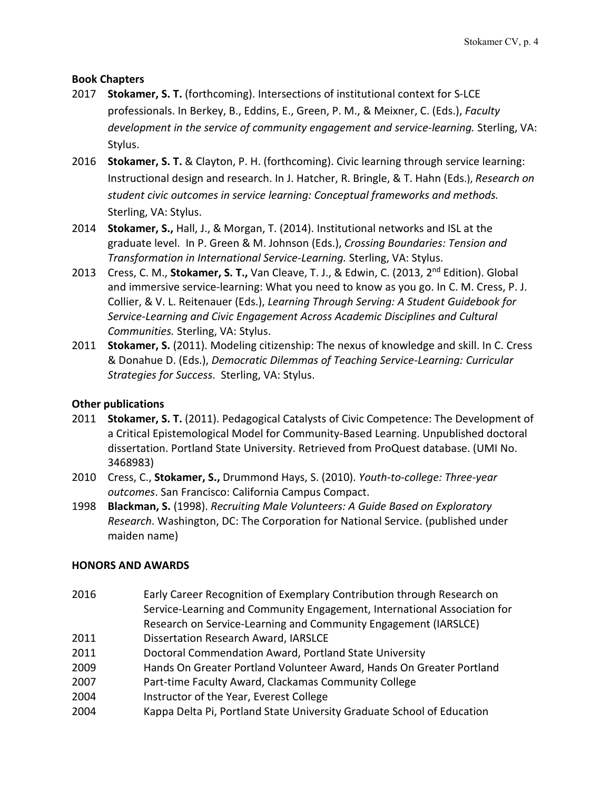## **Book Chapters**

- 2017 **Stokamer, S. T.** (forthcoming). Intersections of institutional context for S-LCE professionals. In Berkey, B., Eddins, E., Green, P. M., & Meixner, C. (Eds.), *Faculty development in the service of community engagement and service-learning.* Sterling, VA: Stylus.
- 2016 **Stokamer, S. T.** & Clayton, P. H. (forthcoming). Civic learning through service learning: Instructional design and research. In J. Hatcher, R. Bringle, & T. Hahn (Eds.), *Research on student civic outcomes in service learning: Conceptual frameworks and methods.*  Sterling, VA: Stylus.
- 2014 **Stokamer, S.,** Hall, J., & Morgan, T. (2014). Institutional networks and ISL at the graduate level. In P. Green & M. Johnson (Eds.), *Crossing Boundaries: Tension and Transformation in International Service-Learning.* Sterling, VA: Stylus.
- 2013 Cress, C. M., **Stokamer, S. T.,** Van Cleave, T. J., & Edwin, C. (2013, 2nd Edition). Global and immersive service-learning: What you need to know as you go. In C. M. Cress, P. J. Collier, & V. L. Reitenauer (Eds.), *Learning Through Serving: A Student Guidebook for Service-Learning and Civic Engagement Across Academic Disciplines and Cultural Communities.* Sterling, VA: Stylus.
- 2011 **Stokamer, S.** (2011). Modeling citizenship: The nexus of knowledge and skill. In C. Cress & Donahue D. (Eds.), *Democratic Dilemmas of Teaching Service-Learning: Curricular Strategies for Success*. Sterling, VA: Stylus.

## **Other publications**

- 2011 **Stokamer, S. T.** (2011). Pedagogical Catalysts of Civic Competence: The Development of a Critical Epistemological Model for Community-Based Learning. Unpublished doctoral dissertation. Portland State University. Retrieved from ProQuest database. (UMI No. 3468983)
- 2010 Cress, C., **Stokamer, S.,** Drummond Hays, S. (2010). *Youth-to-college: Three-year outcomes*. San Francisco: California Campus Compact.
- 1998 **Blackman, S.** (1998). *Recruiting Male Volunteers: A Guide Based on Exploratory Research*. Washington, DC: The Corporation for National Service. (published under maiden name)

## **HONORS AND AWARDS**

- 2016 Early Career Recognition of Exemplary Contribution through Research on Service-Learning and Community Engagement, International Association for Research on Service-Learning and Community Engagement (IARSLCE)
- 2011 Dissertation Research Award, IARSLCE
- 2011 Doctoral Commendation Award, Portland State University
- 2009 Hands On Greater Portland Volunteer Award, Hands On Greater Portland
- 2007 Part-time Faculty Award, Clackamas Community College
- 2004 Instructor of the Year, Everest College
- 2004 Kappa Delta Pi, Portland State University Graduate School of Education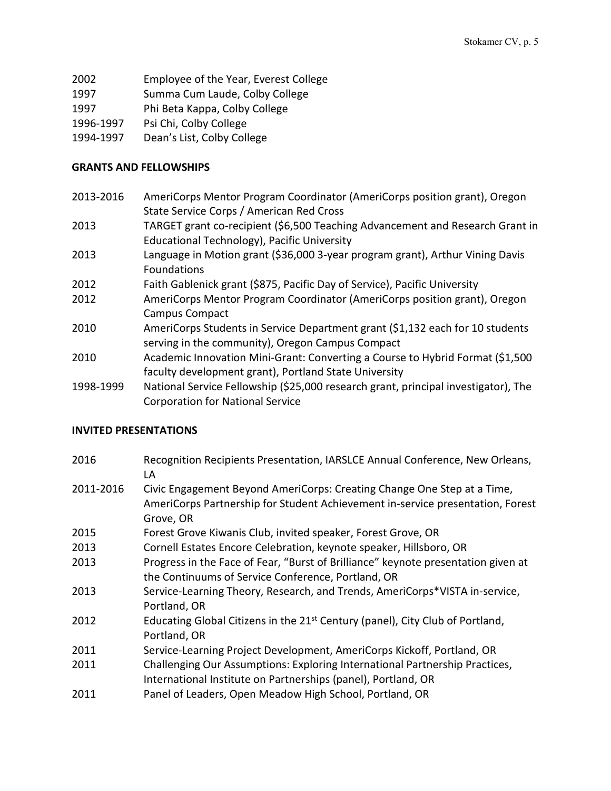- 2002 Employee of the Year, Everest College
- 1997 Summa Cum Laude, Colby College
- 1997 Phi Beta Kappa, Colby College
- 1996-1997 Psi Chi, Colby College
- 1994-1997 Dean's List, Colby College

#### **GRANTS AND FELLOWSHIPS**

- 2013-2016 AmeriCorps Mentor Program Coordinator (AmeriCorps position grant), Oregon State Service Corps / American Red Cross
- 2013 TARGET grant co-recipient (\$6,500 Teaching Advancement and Research Grant in Educational Technology), Pacific University
- 2013 Language in Motion grant (\$36,000 3-year program grant), Arthur Vining Davis Foundations
- 2012 Faith Gablenick grant (\$875, Pacific Day of Service), Pacific University
- 2012 AmeriCorps Mentor Program Coordinator (AmeriCorps position grant), Oregon Campus Compact
- 2010 AmeriCorps Students in Service Department grant (\$1,132 each for 10 students serving in the community), Oregon Campus Compact
- 2010 Academic Innovation Mini-Grant: Converting a Course to Hybrid Format (\$1,500 faculty development grant), Portland State University
- 1998-1999 National Service Fellowship (\$25,000 research grant, principal investigator), The Corporation for National Service

## **INVITED PRESENTATIONS**

2016 Recognition Recipients Presentation, IARSLCE Annual Conference, New Orleans, LA 2011-2016 Civic Engagement Beyond AmeriCorps: Creating Change One Step at a Time, AmeriCorps Partnership for Student Achievement in-service presentation, Forest Grove, OR 2015 Forest Grove Kiwanis Club, invited speaker, Forest Grove, OR 2013 Cornell Estates Encore Celebration, keynote speaker, Hillsboro, OR 2013 Progress in the Face of Fear, "Burst of Brilliance" keynote presentation given at the Continuums of Service Conference, Portland, OR 2013 Service-Learning Theory, Research, and Trends, AmeriCorps\*VISTA in-service, Portland, OR 2012 Educating Global Citizens in the  $21<sup>st</sup>$  Century (panel), City Club of Portland, Portland, OR 2011 Service-Learning Project Development, AmeriCorps Kickoff, Portland, OR 2011 Challenging Our Assumptions: Exploring International Partnership Practices, International Institute on Partnerships (panel), Portland, OR 2011 Panel of Leaders, Open Meadow High School, Portland, OR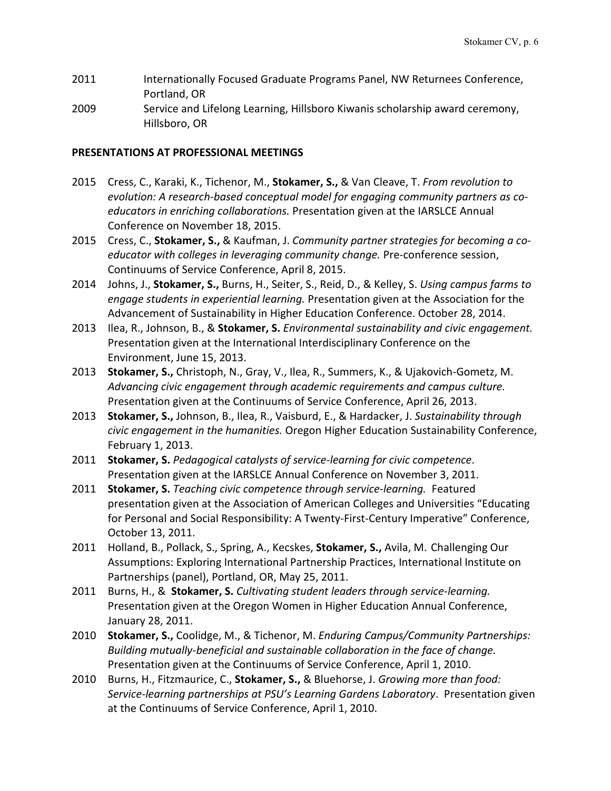- 2011 Internationally Focused Graduate Programs Panel, NW Returnees Conference, Portland, OR
- 2009 Service and Lifelong Learning, Hillsboro Kiwanis scholarship award ceremony, Hillsboro, OR

#### **PRESENTATIONS AT PROFESSIONAL MEETINGS**

- 2015 Cress, C., Karaki, K., Tichenor, M., **Stokamer, S.,** & Van Cleave, T. *From revolution to evolution: A research-based conceptual model for engaging community partners as coeducators in enriching collaborations.* Presentation given at the IARSLCE Annual Conference on November 18, 2015.
- 2015 Cress, C., **Stokamer, S.,** & Kaufman, J. *Community partner strategies for becoming a coeducator with colleges in leveraging community change.* Pre-conference session, Continuums of Service Conference, April 8, 2015.
- 2014 Johns, J., **Stokamer, S.,** Burns, H., Seiter, S., Reid, D., & Kelley, S. *Using campus farms to engage students in experiential learning.* Presentation given at the Association for the Advancement of Sustainability in Higher Education Conference. October 28, 2014.
- 2013 Ilea, R., Johnson, B., & **Stokamer, S.** *Environmental sustainability and civic engagement.* Presentation given at the International Interdisciplinary Conference on the Environment, June 15, 2013.
- 2013 **Stokamer, S.,** Christoph, N., Gray, V., Ilea, R., Summers, K., & Ujakovich-Gometz, M. *Advancing civic engagement through academic requirements and campus culture.*  Presentation given at the Continuums of Service Conference, April 26, 2013.
- 2013 **Stokamer, S.,** Johnson, B., Ilea, R., Vaisburd, E., & Hardacker, J. *Sustainability through civic engagement in the humanities.* Oregon Higher Education Sustainability Conference, February 1, 2013.
- 2011 **Stokamer, S.** *Pedagogical catalysts of service-learning for civic competence*. Presentation given at the IARSLCE Annual Conference on November 3, 2011.
- 2011 **Stokamer, S.** *Teaching civic competence through service-learning.* Featured presentation given at the Association of American Colleges and Universities "Educating for Personal and Social Responsibility: A Twenty-First-Century Imperative" Conference, October 13, 2011.
- 2011 Holland, B., Pollack, S., Spring, A., Kecskes, **Stokamer, S.,** Avila, M. Challenging Our Assumptions: Exploring International Partnership Practices, International Institute on Partnerships (panel), Portland, OR, May 25, 2011.
- 2011 Burns, H., & **Stokamer, S.** *Cultivating student leaders through service-learning.* Presentation given at the Oregon Women in Higher Education Annual Conference, January 28, 2011.
- 2010 **Stokamer, S.,** Coolidge, M., & Tichenor, M. *Enduring Campus/Community Partnerships: Building mutually-beneficial and sustainable collaboration in the face of change.* Presentation given at the Continuums of Service Conference, April 1, 2010.
- 2010 Burns, H., Fitzmaurice, C., **Stokamer, S.,** & Bluehorse, J. *Growing more than food: Service-learning partnerships at PSU's Learning Gardens Laboratory*. Presentation given at the Continuums of Service Conference, April 1, 2010.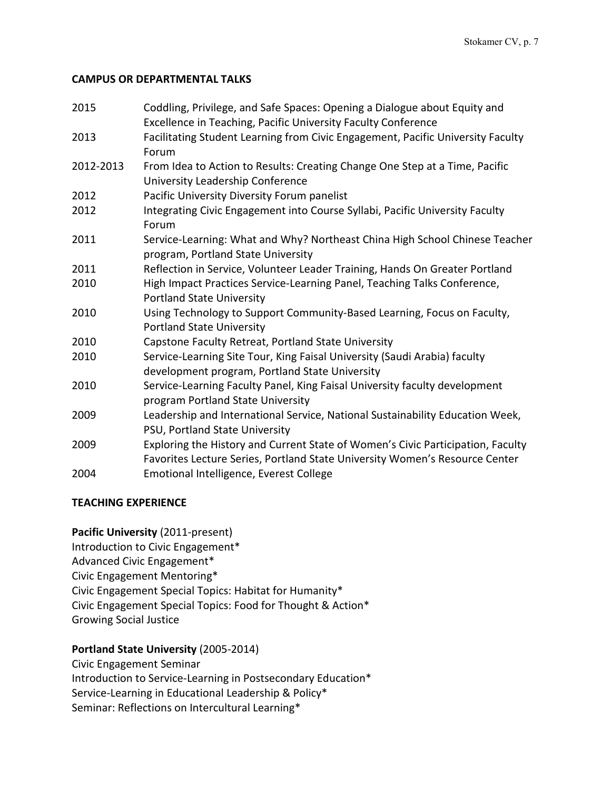#### **CAMPUS OR DEPARTMENTAL TALKS**

| 2015      | Coddling, Privilege, and Safe Spaces: Opening a Dialogue about Equity and<br>Excellence in Teaching, Pacific University Faculty Conference                     |
|-----------|----------------------------------------------------------------------------------------------------------------------------------------------------------------|
| 2013      | Facilitating Student Learning from Civic Engagement, Pacific University Faculty<br>Forum                                                                       |
| 2012-2013 | From Idea to Action to Results: Creating Change One Step at a Time, Pacific<br>University Leadership Conference                                                |
| 2012      | Pacific University Diversity Forum panelist                                                                                                                    |
| 2012      | Integrating Civic Engagement into Course Syllabi, Pacific University Faculty<br>Forum                                                                          |
| 2011      | Service-Learning: What and Why? Northeast China High School Chinese Teacher<br>program, Portland State University                                              |
| 2011      | Reflection in Service, Volunteer Leader Training, Hands On Greater Portland                                                                                    |
| 2010      | High Impact Practices Service-Learning Panel, Teaching Talks Conference,<br><b>Portland State University</b>                                                   |
| 2010      | Using Technology to Support Community-Based Learning, Focus on Faculty,<br><b>Portland State University</b>                                                    |
| 2010      | Capstone Faculty Retreat, Portland State University                                                                                                            |
| 2010      | Service-Learning Site Tour, King Faisal University (Saudi Arabia) faculty<br>development program, Portland State University                                    |
| 2010      | Service-Learning Faculty Panel, King Faisal University faculty development<br>program Portland State University                                                |
| 2009      | Leadership and International Service, National Sustainability Education Week,<br>PSU, Portland State University                                                |
| 2009      | Exploring the History and Current State of Women's Civic Participation, Faculty<br>Favorites Lecture Series, Portland State University Women's Resource Center |
| 2004      | Emotional Intelligence, Everest College                                                                                                                        |

## **TEACHING EXPERIENCE**

**Pacific University** (2011-present) Introduction to Civic Engagement\* Advanced Civic Engagement\* Civic Engagement Mentoring\* Civic Engagement Special Topics: Habitat for Humanity\* Civic Engagement Special Topics: Food for Thought & Action\* Growing Social Justice

## **Portland State University** (2005-2014)

Civic Engagement Seminar Introduction to Service-Learning in Postsecondary Education\* Service-Learning in Educational Leadership & Policy\* Seminar: Reflections on Intercultural Learning\*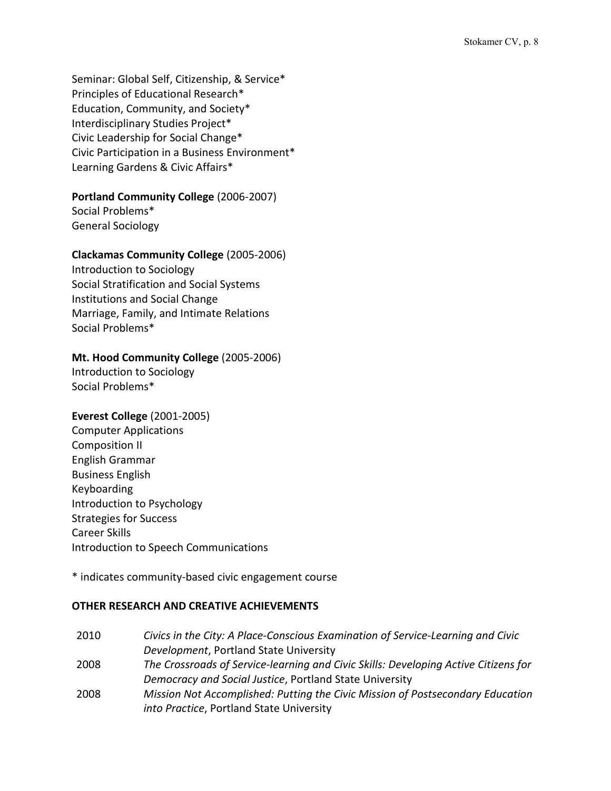Seminar: Global Self, Citizenship, & Service\* Principles of Educational Research\* Education, Community, and Society\* Interdisciplinary Studies Project\* Civic Leadership for Social Change\* Civic Participation in a Business Environment\* Learning Gardens & Civic Affairs\*

#### **Portland Community College** (2006-2007)

Social Problems\* General Sociology

#### **Clackamas Community College** (2005-2006)

Introduction to Sociology Social Stratification and Social Systems Institutions and Social Change Marriage, Family, and Intimate Relations Social Problems\*

## **Mt. Hood Community College** (2005-2006)

Introduction to Sociology Social Problems\*

#### **Everest College** (2001-2005)

Computer Applications Composition II English Grammar Business English Keyboarding Introduction to Psychology Strategies for Success Career Skills Introduction to Speech Communications

\* indicates community-based civic engagement course

#### **OTHER RESEARCH AND CREATIVE ACHIEVEMENTS**

| 2010 | Civics in the City: A Place-Conscious Examination of Service-Learning and Civic     |
|------|-------------------------------------------------------------------------------------|
|      | Development, Portland State University                                              |
| 2008 | The Crossroads of Service-learning and Civic Skills: Developing Active Citizens for |
|      | Democracy and Social Justice, Portland State University                             |
| 2008 | Mission Not Accomplished: Putting the Civic Mission of Postsecondary Education      |
|      | into Practice, Portland State University                                            |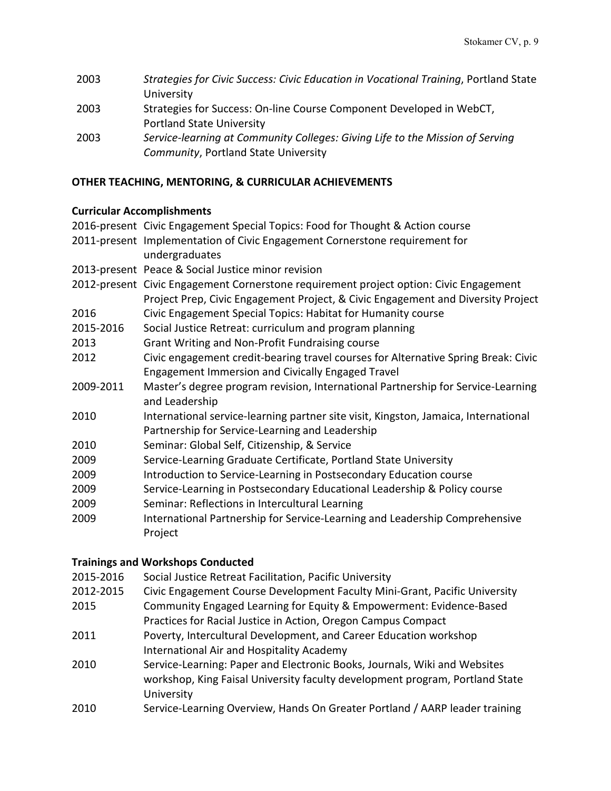| 2003 | Strategies for Civic Success: Civic Education in Vocational Training, Portland State |
|------|--------------------------------------------------------------------------------------|
|      | University                                                                           |
| 2003 | Strategies for Success: On-line Course Component Developed in WebCT,                 |
|      | <b>Portland State University</b>                                                     |
| 2003 | Service-learning at Community Colleges: Giving Life to the Mission of Serving        |
|      | Community, Portland State University                                                 |

## **OTHER TEACHING, MENTORING, & CURRICULAR ACHIEVEMENTS**

## **Curricular Accomplishments**

|           | 2016-present Civic Engagement Special Topics: Food for Thought & Action course         |
|-----------|----------------------------------------------------------------------------------------|
|           | 2011-present Implementation of Civic Engagement Cornerstone requirement for            |
|           | undergraduates                                                                         |
|           | 2013-present Peace & Social Justice minor revision                                     |
|           | 2012-present Civic Engagement Cornerstone requirement project option: Civic Engagement |
|           | Project Prep, Civic Engagement Project, & Civic Engagement and Diversity Project       |
| 2016      | Civic Engagement Special Topics: Habitat for Humanity course                           |
| 2015-2016 | Social Justice Retreat: curriculum and program planning                                |
| 2013      | Grant Writing and Non-Profit Fundraising course                                        |
| 2012      | Civic engagement credit-bearing travel courses for Alternative Spring Break: Civic     |
|           | Engagement Immersion and Civically Engaged Travel                                      |
| 2009-2011 | Master's degree program revision, International Partnership for Service-Learning       |
|           | and Leadership                                                                         |
| 2010      | International service-learning partner site visit, Kingston, Jamaica, International    |
|           | Partnership for Service-Learning and Leadership                                        |
| 2010      | Seminar: Global Self, Citizenship, & Service                                           |
| 2009      | Service-Learning Graduate Certificate, Portland State University                       |
| 2009      | Introduction to Service-Learning in Postsecondary Education course                     |
| 2009      | Service-Learning in Postsecondary Educational Leadership & Policy course               |
| 2009      | Seminar: Reflections in Intercultural Learning                                         |
| 2009      | International Partnership for Service-Learning and Leadership Comprehensive            |
|           | Project                                                                                |
|           |                                                                                        |

## **Trainings and Workshops Conducted**

- 2015-2016 Social Justice Retreat Facilitation, Pacific University
- 2012-2015 Civic Engagement Course Development Faculty Mini-Grant, Pacific University
- 2015 Community Engaged Learning for Equity & Empowerment: Evidence-Based Practices for Racial Justice in Action, Oregon Campus Compact
- 2011 Poverty, Intercultural Development, and Career Education workshop International Air and Hospitality Academy
- 2010 Service-Learning: Paper and Electronic Books, Journals, Wiki and Websites workshop, King Faisal University faculty development program, Portland State University
- 2010 Service-Learning Overview, Hands On Greater Portland / AARP leader training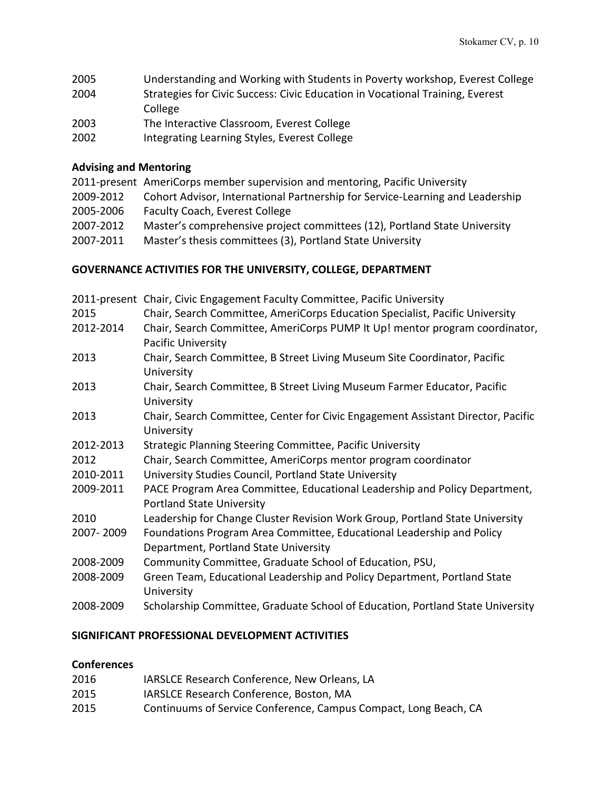| 2005 | Understanding and Working with Students in Poverty workshop, Everest College  |
|------|-------------------------------------------------------------------------------|
| 2004 | Strategies for Civic Success: Civic Education in Vocational Training, Everest |
|      | College                                                                       |
| 2003 | The Interactive Classroom, Everest College                                    |
| 2002 | Integrating Learning Styles, Everest College                                  |

## **Advising and Mentoring**

|           | 2011-present AmeriCorps member supervision and mentoring, Pacific University  |
|-----------|-------------------------------------------------------------------------------|
| 2009-2012 | Cohort Advisor, International Partnership for Service-Learning and Leadership |
| 2005-2006 | <b>Faculty Coach, Everest College</b>                                         |
| 2007-2012 | Master's comprehensive project committees (12), Portland State University     |
| 2007-2011 | Master's thesis committees (3), Portland State University                     |
|           |                                                                               |

## **GOVERNANCE ACTIVITIES FOR THE UNIVERSITY, COLLEGE, DEPARTMENT**

|           | 2011-present Chair, Civic Engagement Faculty Committee, Pacific University                                     |
|-----------|----------------------------------------------------------------------------------------------------------------|
| 2015      | Chair, Search Committee, AmeriCorps Education Specialist, Pacific University                                   |
| 2012-2014 | Chair, Search Committee, AmeriCorps PUMP It Up! mentor program coordinator,<br><b>Pacific University</b>       |
| 2013      | Chair, Search Committee, B Street Living Museum Site Coordinator, Pacific<br>University                        |
| 2013      | Chair, Search Committee, B Street Living Museum Farmer Educator, Pacific<br>University                         |
| 2013      | Chair, Search Committee, Center for Civic Engagement Assistant Director, Pacific<br>University                 |
| 2012-2013 | Strategic Planning Steering Committee, Pacific University                                                      |
| 2012      | Chair, Search Committee, AmeriCorps mentor program coordinator                                                 |
| 2010-2011 | University Studies Council, Portland State University                                                          |
| 2009-2011 | PACE Program Area Committee, Educational Leadership and Policy Department,<br><b>Portland State University</b> |
| 2010      | Leadership for Change Cluster Revision Work Group, Portland State University                                   |
| 2007-2009 | Foundations Program Area Committee, Educational Leadership and Policy<br>Department, Portland State University |
| 2008-2009 | Community Committee, Graduate School of Education, PSU,                                                        |
| 2008-2009 | Green Team, Educational Leadership and Policy Department, Portland State<br>University                         |
| 2008-2009 | Scholarship Committee, Graduate School of Education, Portland State University                                 |
|           |                                                                                                                |

#### **SIGNIFICANT PROFESSIONAL DEVELOPMENT ACTIVITIES**

## **Conferences**

| 2016 | IARSLCE Research Conference, New Orleans, LA                     |
|------|------------------------------------------------------------------|
| 2015 | <b>IARSLCE Research Conference, Boston, MA</b>                   |
| 2015 | Continuums of Service Conference, Campus Compact, Long Beach, CA |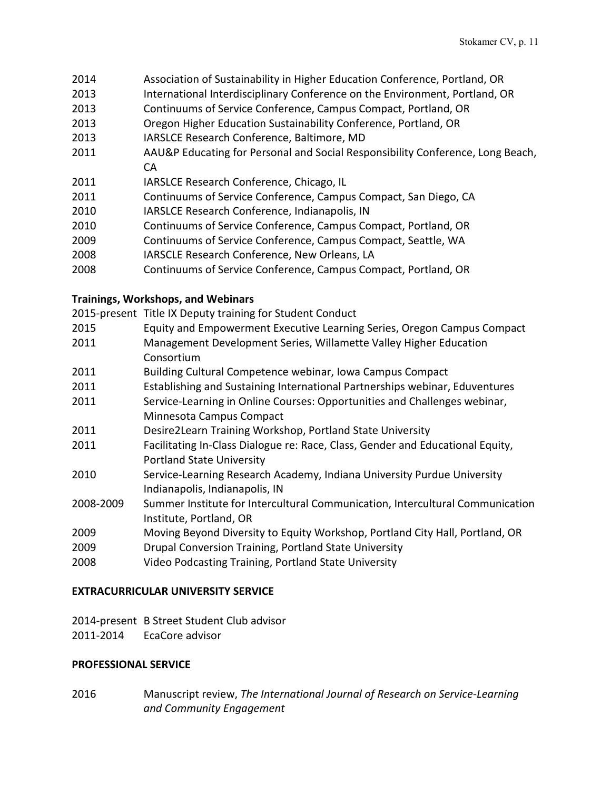- 2014 Association of Sustainability in Higher Education Conference, Portland, OR
- 2013 International Interdisciplinary Conference on the Environment, Portland, OR
- 2013 Continuums of Service Conference, Campus Compact, Portland, OR
- 2013 Oregon Higher Education Sustainability Conference, Portland, OR
- 2013 IARSLCE Research Conference, Baltimore, MD
- 2011 AAU&P Educating for Personal and Social Responsibility Conference, Long Beach, CA
- 2011 IARSLCE Research Conference, Chicago, IL
- 2011 Continuums of Service Conference, Campus Compact, San Diego, CA
- 2010 IARSLCE Research Conference, Indianapolis, IN
- 2010 Continuums of Service Conference, Campus Compact, Portland, OR
- 2009 Continuums of Service Conference, Campus Compact, Seattle, WA
- 2008 IARSCLE Research Conference, New Orleans, LA
- 2008 Continuums of Service Conference, Campus Compact, Portland, OR

## **Trainings, Workshops, and Webinars**

2015-present Title IX Deputy training for Student Conduct

- 2015 Equity and Empowerment Executive Learning Series, Oregon Campus Compact
- 2011 Management Development Series, Willamette Valley Higher Education Consortium
- 2011 Building Cultural Competence webinar, Iowa Campus Compact
- 2011 Establishing and Sustaining International Partnerships webinar, Eduventures
- 2011 Service-Learning in Online Courses: Opportunities and Challenges webinar, Minnesota Campus Compact
- 2011 Desire2Learn Training Workshop, Portland State University
- 2011 Facilitating In-Class Dialogue re: Race, Class, Gender and Educational Equity, Portland State University
- 2010 Service-Learning Research Academy, Indiana University Purdue University Indianapolis, Indianapolis, IN
- 2008-2009 Summer Institute for Intercultural Communication, Intercultural Communication Institute, Portland, OR
- 2009 Moving Beyond Diversity to Equity Workshop, Portland City Hall, Portland, OR
- 2009 Drupal Conversion Training, Portland State University
- 2008 Video Podcasting Training, Portland State University

## **EXTRACURRICULAR UNIVERSITY SERVICE**

2014-present B Street Student Club advisor 2011-2014 EcaCore advisor

# **PROFESSIONAL SERVICE**

2016 Manuscript review, *The International Journal of Research on Service-Learning and Community Engagement*